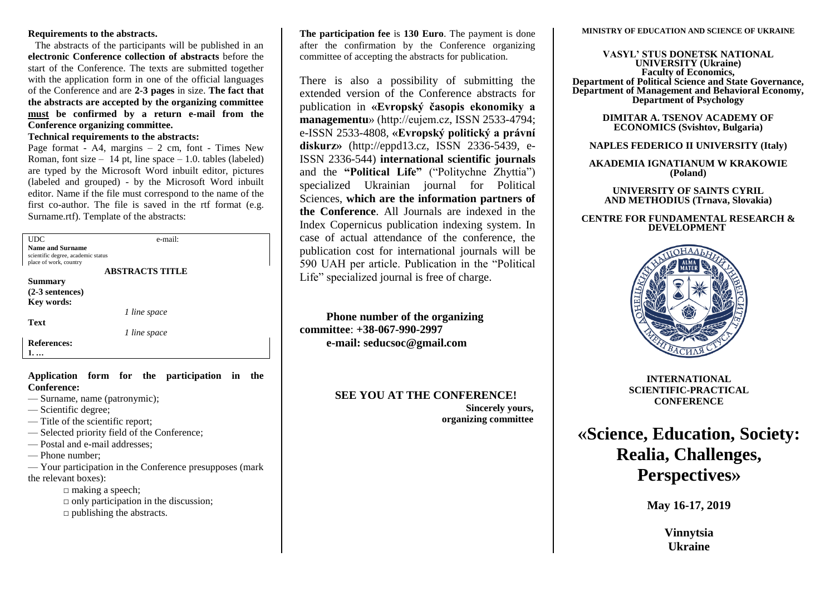#### **Requirements to the abstracts.**

The abstracts of the participants will be published in an **electronic Conference collection of abstracts** before the start of the Conference. The texts are submitted together with the application form in one of the official languages of the Conference and are **2-3 pages** in size. **The fact that the abstracts are accepted by the organizing committee must be confirmed by a return e-mail from the Conference organizing committee.**

**Technical requirements to the abstracts:**

Page format -  $A4$ , margins  $-2$  cm, font - Times New Roman, font size – 14 pt. line space – 1.0, tables (labeled) are typed by the Microsoft Word inbuilt editor, pictures (labeled and grouped) - by the Microsoft Word inbuilt editor. Name if the file must correspond to the name of the first co-author. The file is saved in the rtf format (e.g. Surname.rtf). Template of the abstracts:

| <b>UDC</b>                         | e-mail:                |  |
|------------------------------------|------------------------|--|
| <b>Name and Surname</b>            |                        |  |
| scientific degree, academic status |                        |  |
| place of work, country             |                        |  |
|                                    | <b>ABSTRACTS TITLE</b> |  |
| <b>Summary</b>                     |                        |  |
| $(2-3$ sentences)                  |                        |  |
| Key words:                         |                        |  |
|                                    | 1 line space           |  |
| <b>Text</b>                        |                        |  |
|                                    | 1 line space           |  |
| <b>References:</b>                 |                        |  |
|                                    |                        |  |

### **Application form for the participation in the Conference:**

- Surname, name (patronymic);
- Scientific degree;
- Title of the scientific report;
- Selected priority field of the Conference;
- Postal and e-mail addresses;
- Phone number;

— Your participation in the Conference presupposes (mark the relevant boxes):

- □ making a speech;  $\Box$  only participation in the discussion;
- $\Box$  publishing the abstracts.

**The participation fee** is **130 Euro**. The payment is done after the confirmation by the Conference organizing committee of accepting the abstracts for publication.

There is also a possibility of submitting the extended version of the Conference abstracts for publication in **[«Evropský časopis ekonomiky a](https://eujem.cz/?page_id=27)  [managementu](https://eujem.cz/?page_id=27)**» (http://eujem.cz, ISSN 2533-4794; e-ISSN 2533-4808, **«Evropský politický a právní diskurz»** (http://eppd13.cz, ISSN 2336-5439, e-ISSN 2336-544) **international scientific journals** and the **"Political Life"** ("Politychne Zhyttia") specialized Ukrainian journal for Political Sciences, **which are the information partners of the Conference**. All Journals are indexed in the Index Copernicus publication indexing system. In case of actual attendance of the conference, the publication cost for international journals will be 590 UAH per article. Publication in the "Political Life" specialized journal is free of charge.

**Phone number of the organizing committee**: **+38-067-990-2997 e-mail: seducsoc@gmail.com**

**SEE YOU AT THE CONFERENCE!**

**Sincerely yours, organizing committee** **MINISTRY OF EDUCATION AND SCIENCE OF UKRAINE**

**VASYL' STUS DONETSK NATIONAL UNIVERSITY (Ukraine) Faculty of Economics, Department of Political Science and State Governance, Department of Management and Behavioral Economy, Department of Psychology**

> **DIMITAR A. TSENOV ACADEMY OF ECONOMICS (Svishtov, Bulgaria)**

## **NAPLES FEDERICO II UNIVERSITY (Italy)**

**AKADEMIA IGNATIANUM W KRAKOWIE (Poland)**

**UNIVERSITY OF SAINTS CYRIL AND METHODIUS (Trnava, Slovakia)**

#### **CENTRE FOR FUNDAMENTAL RESEARCH & DEVELOPMENT**



**INTERNATIONAL SCIENTIFIC-PRACTICAL CONFERENCE**

**«Science, Education, Society: Realia, Challenges, Perspectives»**

**May 16-17, 2019**

**Vinnytsia Ukraine**